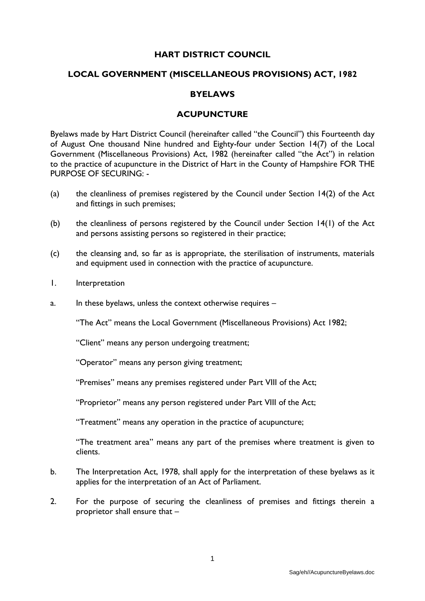### **HART DISTRICT COUNCIL**

## **LOCAL GOVERNMENT (MISCELLANEOUS PROVISIONS) ACT, 1982**

### **BYELAWS**

### **ACUPUNCTURE**

Byelaws made by Hart District Council (hereinafter called "the Council") this Fourteenth day of August One thousand Nine hundred and Eighty-four under Section 14(7) of the Local Government (Miscellaneous Provisions) Act, 1982 (hereinafter called "the Act") in relation to the practice of acupuncture in the District of Hart in the County of Hampshire FOR THE PURPOSE OF SECURING: -

- (a) the cleanliness of premises registered by the Council under Section 14(2) of the Act and fittings in such premises;
- (b) the cleanliness of persons registered by the Council under Section 14(1) of the Act and persons assisting persons so registered in their practice;
- (c) the cleansing and, so far as is appropriate, the sterilisation of instruments, materials and equipment used in connection with the practice of acupuncture.
- 1. Interpretation
- a. In these byelaws, unless the context otherwise requires –

"The Act" means the Local Government (Miscellaneous Provisions) Act 1982;

"Client" means any person undergoing treatment;

"Operator" means any person giving treatment;

"Premises" means any premises registered under Part VIII of the Act;

"Proprietor" means any person registered under Part VIII of the Act;

"Treatment" means any operation in the practice of acupuncture;

 "The treatment area" means any part of the premises where treatment is given to clients.

- b. The Interpretation Act, 1978, shall apply for the interpretation of these byelaws as it applies for the interpretation of an Act of Parliament.
- 2. For the purpose of securing the cleanliness of premises and fittings therein a proprietor shall ensure that –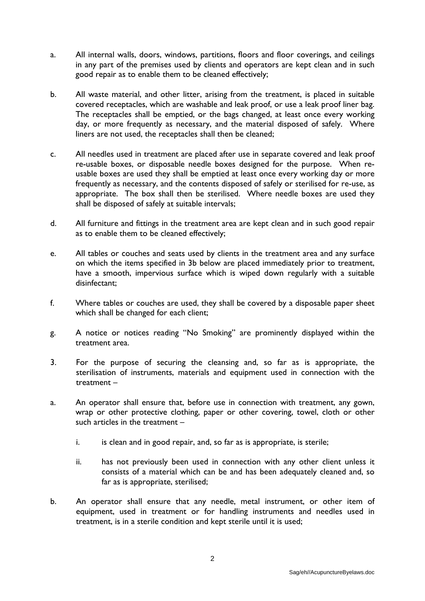- a. All internal walls, doors, windows, partitions, floors and floor coverings, and ceilings in any part of the premises used by clients and operators are kept clean and in such good repair as to enable them to be cleaned effectively;
- b. All waste material, and other litter, arising from the treatment, is placed in suitable covered receptacles, which are washable and leak proof, or use a leak proof liner bag. The receptacles shall be emptied, or the bags changed, at least once every working day, or more frequently as necessary, and the material disposed of safely. Where liners are not used, the receptacles shall then be cleaned;
- c. All needles used in treatment are placed after use in separate covered and leak proof re-usable boxes, or disposable needle boxes designed for the purpose. When reusable boxes are used they shall be emptied at least once every working day or more frequently as necessary, and the contents disposed of safely or sterilised for re-use, as appropriate. The box shall then be sterilised. Where needle boxes are used they shall be disposed of safely at suitable intervals;
- d. All furniture and fittings in the treatment area are kept clean and in such good repair as to enable them to be cleaned effectively;
- e. All tables or couches and seats used by clients in the treatment area and any surface on which the items specified in 3b below are placed immediately prior to treatment, have a smooth, impervious surface which is wiped down regularly with a suitable disinfectant;
- f. Where tables or couches are used, they shall be covered by a disposable paper sheet which shall be changed for each client;
- g. A notice or notices reading "No Smoking" are prominently displayed within the treatment area.
- 3. For the purpose of securing the cleansing and, so far as is appropriate, the sterilisation of instruments, materials and equipment used in connection with the treatment –
- a. An operator shall ensure that, before use in connection with treatment, any gown, wrap or other protective clothing, paper or other covering, towel, cloth or other such articles in the treatment –
	- i. is clean and in good repair, and, so far as is appropriate, is sterile;
	- ii. has not previously been used in connection with any other client unless it consists of a material which can be and has been adequately cleaned and, so far as is appropriate, sterilised;
- b. An operator shall ensure that any needle, metal instrument, or other item of equipment, used in treatment or for handling instruments and needles used in treatment, is in a sterile condition and kept sterile until it is used;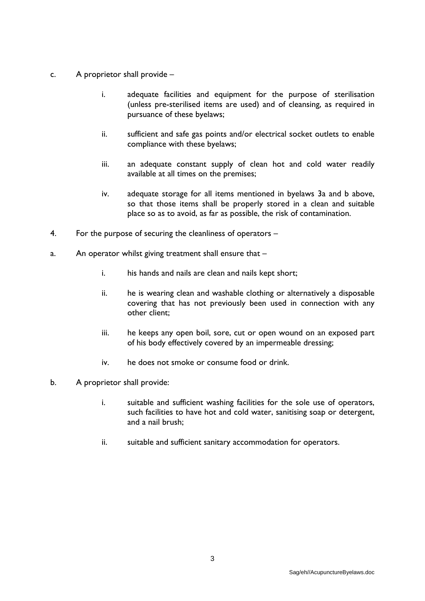- c. A proprietor shall provide
	- i. adequate facilities and equipment for the purpose of sterilisation (unless pre-sterilised items are used) and of cleansing, as required in pursuance of these byelaws;
	- ii. sufficient and safe gas points and/or electrical socket outlets to enable compliance with these byelaws;
	- iii. an adequate constant supply of clean hot and cold water readily available at all times on the premises;
	- iv. adequate storage for all items mentioned in byelaws 3a and b above, so that those items shall be properly stored in a clean and suitable place so as to avoid, as far as possible, the risk of contamination.
- 4. For the purpose of securing the cleanliness of operators –
- a. An operator whilst giving treatment shall ensure that
	- i. his hands and nails are clean and nails kept short;
	- ii. he is wearing clean and washable clothing or alternatively a disposable covering that has not previously been used in connection with any other client;
	- iii. he keeps any open boil, sore, cut or open wound on an exposed part of his body effectively covered by an impermeable dressing;
	- iv. he does not smoke or consume food or drink.
- b. A proprietor shall provide:
	- i. suitable and sufficient washing facilities for the sole use of operators, such facilities to have hot and cold water, sanitising soap or detergent, and a nail brush;
	- ii. suitable and sufficient sanitary accommodation for operators.